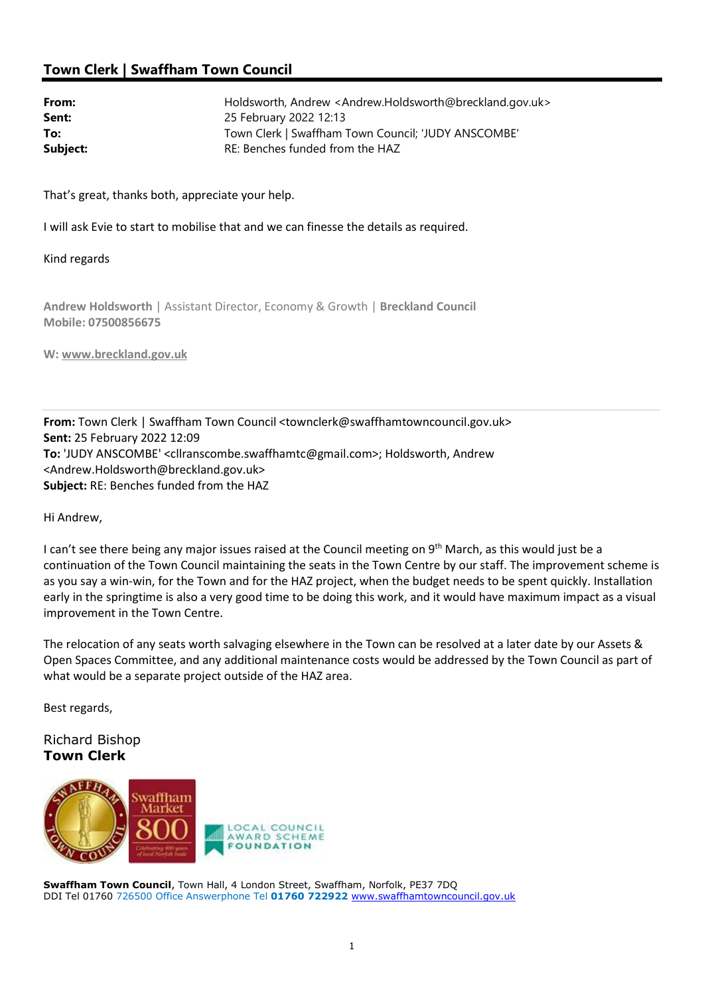# Town Clerk | Swaffham Town Council

| From:    | Holdsworth, Andrew <andrew.holdsworth@breckland.gov.uk></andrew.holdsworth@breckland.gov.uk> |
|----------|----------------------------------------------------------------------------------------------|
| Sent:    | 25 February 2022 12:13                                                                       |
| To:      | Town Clerk   Swaffham Town Council; 'JUDY ANSCOMBE'                                          |
| Subject: | RE: Benches funded from the HAZ                                                              |

That's great, thanks both, appreciate your help.

I will ask Evie to start to mobilise that and we can finesse the details as required.

### Kind regards

Andrew Holdsworth | Assistant Director, Economy & Growth | Breckland Council Mobile: 07500856675

W: www.breckland.gov.uk

From: Town Clerk | Swaffham Town Council <townclerk@swaffhamtowncouncil.gov.uk> Sent: 25 February 2022 12:09 To: 'JUDY ANSCOMBE' <cllranscombe.swaffhamtc@gmail.com>; Holdsworth, Andrew <Andrew.Holdsworth@breckland.gov.uk> Subject: RE: Benches funded from the HAZ

### Hi Andrew,

I can't see there being any major issues raised at the Council meeting on 9<sup>th</sup> March, as this would just be a continuation of the Town Council maintaining the seats in the Town Centre by our staff. The improvement scheme is as you say a win-win, for the Town and for the HAZ project, when the budget needs to be spent quickly. Installation early in the springtime is also a very good time to be doing this work, and it would have maximum impact as a visual improvement in the Town Centre.

The relocation of any seats worth salvaging elsewhere in the Town can be resolved at a later date by our Assets & Open Spaces Committee, and any additional maintenance costs would be addressed by the Town Council as part of what would be a separate project outside of the HAZ area.

Best regards,

## Richard Bishop Town Clerk



Swaffham Town Council, Town Hall, 4 London Street, Swaffham, Norfolk, PE37 7DQ DDI Tel 01760 726500 Office Answerphone Tel 01760 722922 www.swaffhamtowncouncil.gov.uk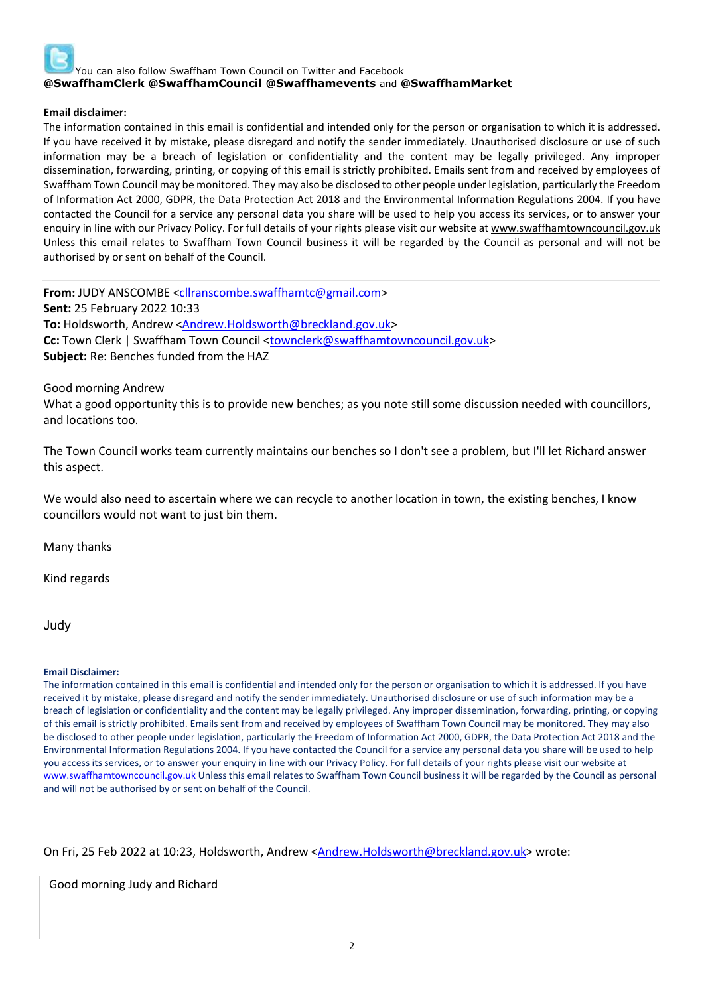

### Email disclaimer:

The information contained in this email is confidential and intended only for the person or organisation to which it is addressed. If you have received it by mistake, please disregard and notify the sender immediately. Unauthorised disclosure or use of such information may be a breach of legislation or confidentiality and the content may be legally privileged. Any improper dissemination, forwarding, printing, or copying of this email is strictly prohibited. Emails sent from and received by employees of Swaffham Town Council may be monitored. They may also be disclosed to other people under legislation, particularly the Freedom of Information Act 2000, GDPR, the Data Protection Act 2018 and the Environmental Information Regulations 2004. If you have contacted the Council for a service any personal data you share will be used to help you access its services, or to answer your enquiry in line with our Privacy Policy. For full details of your rights please visit our website at www.swaffhamtowncouncil.gov.uk Unless this email relates to Swaffham Town Council business it will be regarded by the Council as personal and will not be authorised by or sent on behalf of the Council.

From: JUDY ANSCOMBE <cllranscombe.swaffhamtc@gmail.com> Sent: 25 February 2022 10:33 To: Holdsworth, Andrew <Andrew.Holdsworth@breckland.gov.uk> Cc: Town Clerk | Swaffham Town Council <townclerk@swaffhamtowncouncil.gov.uk> Subject: Re: Benches funded from the HAZ

Good morning Andrew

What a good opportunity this is to provide new benches; as you note still some discussion needed with councillors, and locations too.

The Town Council works team currently maintains our benches so I don't see a problem, but I'll let Richard answer this aspect.

We would also need to ascertain where we can recycle to another location in town, the existing benches, I know councillors would not want to just bin them.

Many thanks

Kind regards

Judy

#### Email Disclaimer:

The information contained in this email is confidential and intended only for the person or organisation to which it is addressed. If you have received it by mistake, please disregard and notify the sender immediately. Unauthorised disclosure or use of such information may be a breach of legislation or confidentiality and the content may be legally privileged. Any improper dissemination, forwarding, printing, or copying of this email is strictly prohibited. Emails sent from and received by employees of Swaffham Town Council may be monitored. They may also be disclosed to other people under legislation, particularly the Freedom of Information Act 2000, GDPR, the Data Protection Act 2018 and the Environmental Information Regulations 2004. If you have contacted the Council for a service any personal data you share will be used to help you access its services, or to answer your enquiry in line with our Privacy Policy. For full details of your rights please visit our website at www.swaffhamtowncouncil.gov.uk Unless this email relates to Swaffham Town Council business it will be regarded by the Council as personal and will not be authorised by or sent on behalf of the Council.

On Fri, 25 Feb 2022 at 10:23, Holdsworth, Andrew <Andrew.Holdsworth@breckland.gov.uk> wrote:

Good morning Judy and Richard